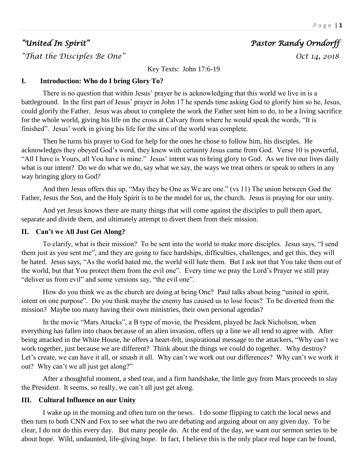# *"United In Spirit" Pastor Randy Orndorff*

*"That the Disciples Be One" Oct 14, 2018* 

Key Texts: John 17:6-19

# **I. Introduction: Who do I bring Glory To?**

There is no question that within Jesus' prayer he is acknowledging that this world we live in is a battleground. In the first part of Jesus' prayer in John 17 he spends time asking God to glorify him so he, Jesus, could glorify the Father. Jesus was about to complete the work the Father sent him to do, to be a living sacrifice for the whole world, giving his life on the cross at Calvary from where he would speak the words, "It is finished". Jesus' work in giving his life for the sins of the world was complete.

Then he turns his prayer to God for help for the ones he chose to follow him, his disciples. He acknowledges they obeyed God's word, they knew with certainty Jesus came from God. Verse 10 is powerful, "All I have is Yours, all You have is mine." Jesus' intent was to bring glory to God. As we live our lives daily what is our intent? Do we do what we do, say what we say, the ways we treat others or speak to others in any way bringing glory to God?

And then Jesus offers this up, "May they be One as We are one." (vs 11) The union between God the Father, Jesus the Son, and the Holy Spirit is to be the model for us, the church. Jesus is praying for our unity.

And yet Jesus knows there are many things that will come against the disciples to pull them apart, separate and divide them, and ultimately attempt to divert them from their mission.

# **II. Can't we All Just Get Along?**

To clarify, what is their mission? To be sent into the world to make more disciples. Jesus says, "I send them just as you sent me", and they are going to face hardships, difficulties, challenges, and get this, they will be hated. Jesus says, "As the world hated me, the world will hate them. But I ask not that You take them out of the world, but that You protect them from the evil one". Every time we pray the Lord's Prayer we still pray "deliver us from evil" and some versions say, "the evil one".

How do you think we as the church are doing at being One? Paul talks about being "united in spirit, intent on one purpose". Do you think maybe the enemy has caused us to lose focus? To be diverted from the mission? Maybe too many having their own ministries, their own personal agendas?

In the movie "Mars Attacks", a B type of movie, the President, played be Jack Nicholson, when everything has fallen into chaos because of an alien invasion, offers up a line we all tend to agree with. After being attacked in the White House, he offers a heart-felt, inspirational message to the attackers, "Why can't we work together, just because we are different? Think about the things we could do together. Why destroy? Let's create, we can have it all, or smash it all. Why can't we work out our differences? Why can't we work it out? Why can't we all just get along?"

After a thoughtful moment, a shed tear, and a firm handshake, the little guy from Mars proceeds to slay the President. It seems, so really, we can't all just get along.

# **III. Cultural Influence on our Unity**

I wake up in the morning and often turn on the news. I do some flipping to catch the local news and then turn to both CNN and Fox to see what the two are debating and arguing about on any given day. To be clear, I do not do this every day. But many people do. At the end of the day, we want our sermon series to be about hope. Wild, undaunted, life-giving hope. In fact, I believe this is the only place real hope can be found,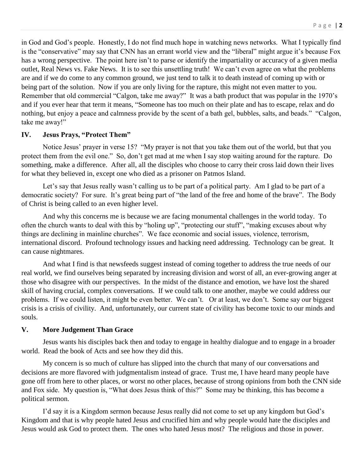in God and God's people. Honestly, I do not find much hope in watching news networks. What I typically find is the "conservative" may say that CNN has an errant world view and the "liberal" might argue it's because Fox has a wrong perspective. The point here isn't to parse or identify the impartiality or accuracy of a given media outlet, Real News vs. Fake News. It is to see this unsettling truth! We can't even agree on what the problems are and if we do come to any common ground, we just tend to talk it to death instead of coming up with or being part of the solution. Now if you are only living for the rapture, this might not even matter to you. Remember that old commercial "Calgon, take me away?" It was a bath product that was popular in the 1970's and if you ever hear that term it means, "Someone has too much on their plate and has to escape, relax and do nothing, but enjoy a peace and calmness provide by the scent of a bath gel, bubbles, salts, and beads." "Calgon, take me away!"

### **IV. Jesus Prays, "Protect Them"**

Notice Jesus' prayer in verse 15? "My prayer is not that you take them out of the world, but that you protect them from the evil one." So, don't get mad at me when I say stop waiting around for the rapture. Do something, make a difference. After all, all the disciples who choose to carry their cross laid down their lives for what they believed in, except one who died as a prisoner on Patmos Island.

Let's say that Jesus really wasn't calling us to be part of a political party. Am I glad to be part of a democratic society? For sure. It's great being part of "the land of the free and home of the brave". The Body of Christ is being called to an even higher level.

And why this concerns me is because we are facing monumental challenges in the world today. To often the church wants to deal with this by "holing up", "protecting our stuff", "making excuses about why things are declining in mainline churches". We face economic and social issues, violence, terrorism, international discord. Profound technology issues and hacking need addressing. Technology can be great. It can cause nightmares.

And what I find is that newsfeeds suggest instead of coming together to address the true needs of our real world, we find ourselves being separated by increasing division and worst of all, an ever-growing anger at those who disagree with our perspectives. In the midst of the distance and emotion, we have lost the shared skill of having crucial, complex conversations. If we could talk to one another, maybe we could address our problems. If we could listen, it might be even better. We can't. Or at least, we don't. Some say our biggest crisis is a crisis of civility. And, unfortunately, our current state of civility has become toxic to our minds and souls.

### **V. More Judgement Than Grace**

Jesus wants his disciples back then and today to engage in healthy dialogue and to engage in a broader world. Read the book of Acts and see how they did this.

My concern is so much of culture has slipped into the church that many of our conversations and decisions are more flavored with judgmentalism instead of grace. Trust me, I have heard many people have gone off from here to other places, or worst no other places, because of strong opinions from both the CNN side and Fox side. My question is, "What does Jesus think of this?" Some may be thinking, this has become a political sermon.

I'd say it is a Kingdom sermon because Jesus really did not come to set up any kingdom but God's Kingdom and that is why people hated Jesus and crucified him and why people would hate the disciples and Jesus would ask God to protect them. The ones who hated Jesus most? The religious and those in power.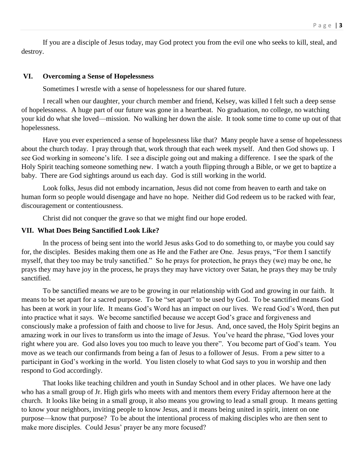If you are a disciple of Jesus today, may God protect you from the evil one who seeks to kill, steal, and destroy.

#### **VI. Overcoming a Sense of Hopelessness**

Sometimes I wrestle with a sense of hopelessness for our shared future.

I recall when our daughter, your church member and friend, Kelsey, was killed I felt such a deep sense of hopelessness. A huge part of our future was gone in a heartbeat. No graduation, no college, no watching your kid do what she loved—mission. No walking her down the aisle. It took some time to come up out of that hopelessness.

Have you ever experienced a sense of hopelessness like that? Many people have a sense of hopelessness about the church today. I pray through that, work through that each week myself. And then God shows up. I see God working in someone's life. I see a disciple going out and making a difference. I see the spark of the Holy Spirit teaching someone something new. I watch a youth flipping through a Bible, or we get to baptize a baby. There are God sightings around us each day. God is still working in the world.

Look folks, Jesus did not embody incarnation, Jesus did not come from heaven to earth and take on human form so people would disengage and have no hope. Neither did God redeem us to be racked with fear, discouragement or contentiousness.

Christ did not conquer the grave so that we might find our hope eroded.

#### **VII. What Does Being Sanctified Look Like?**

In the process of being sent into the world Jesus asks God to do something to, or maybe you could say for, the disciples. Besides making them one as He and the Father are One. Jesus prays, "For them I sanctify myself, that they too may be truly sanctified." So he prays for protection, he prays they (we) may be one, he prays they may have joy in the process, he prays they may have victory over Satan, he prays they may be truly sanctified.

To be sanctified means we are to be growing in our relationship with God and growing in our faith. It means to be set apart for a sacred purpose. To be "set apart" to be used by God. To be sanctified means God has been at work in your life. It means God's Word has an impact on our lives. We read God's Word, then put into practice what it says. We become sanctified because we accept God's grace and forgiveness and consciously make a profession of faith and choose to live for Jesus. And, once saved, the Holy Spirit begins an amazing work in our lives to transform us into the image of Jesus. You've heard the phrase, "God loves your right where you are. God also loves you too much to leave you there". You become part of God's team. You move as we teach our confirmands from being a fan of Jesus to a follower of Jesus. From a pew sitter to a participant in God's working in the world. You listen closely to what God says to you in worship and then respond to God accordingly.

That looks like teaching children and youth in Sunday School and in other places. We have one lady who has a small group of Jr. High girls who meets with and mentors them every Friday afternoon here at the church. It looks like being in a small group, it also means you growing to lead a small group. It means getting to know your neighbors, inviting people to know Jesus, and it means being united in spirit, intent on one purpose—know that purpose? To be about the intentional process of making disciples who are then sent to make more disciples. Could Jesus' prayer be any more focused?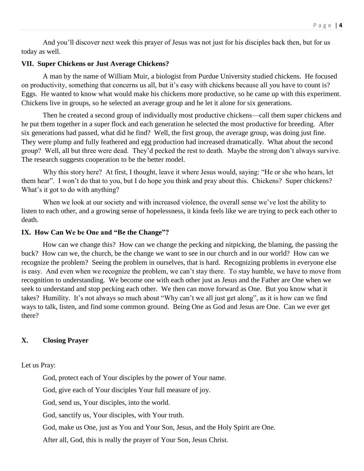And you'll discover next week this prayer of Jesus was not just for his disciples back then, but for us today as well.

#### **VII. Super Chickens or Just Average Chickens?**

A man by the name of William Muir, a biologist from Purdue University studied chickens. He focused on productivity, something that concerns us all, but it's easy with chickens because all you have to count is? Eggs. He wanted to know what would make his chickens more productive, so he came up with this experiment. Chickens live in groups, so he selected an average group and he let it alone for six generations.

Then he created a second group of individually most productive chickens—call them super chickens and he put them together in a super flock and each generation he selected the most productive for breeding. After six generations had passed, what did he find? Well, the first group, the average group, was doing just fine. They were plump and fully feathered and egg production had increased dramatically. What about the second group? Well, all but three were dead. They'd pecked the rest to death. Maybe the strong don't always survive. The research suggests cooperation to be the better model.

Why this story here? At first, I thought, leave it where Jesus would, saying: "He or she who hears, let them hear". I won't do that to you, but I do hope you think and pray about this. Chickens? Super chickens? What's it got to do with anything?

When we look at our society and with increased violence, the overall sense we've lost the ability to listen to each other, and a growing sense of hopelessness, it kinda feels like we are trying to peck each other to death.

#### **IX. How Can We be One and "Be the Change"?**

How can we change this? How can we change the pecking and nitpicking, the blaming, the passing the buck? How can we, the church, be the change we want to see in our church and in our world? How can we recognize the problem? Seeing the problem in ourselves, that is hard. Recognizing problems in everyone else is easy. And even when we recognize the problem, we can't stay there. To stay humble, we have to move from recognition to understanding. We become one with each other just as Jesus and the Father are One when we seek to understand and stop pecking each other. We then can move forward as One. But you know what it takes? Humility. It's not always so much about "Why can't we all just get along", as it is how can we find ways to talk, listen, and find some common ground. Being One as God and Jesus are One. Can we ever get there?

## **X. Closing Prayer**

Let us Pray:

God, protect each of Your disciples by the power of Your name.

God, give each of Your disciples Your full measure of joy.

God, send us, Your disciples, into the world.

God, sanctify us, Your disciples, with Your truth.

God, make us One, just as You and Your Son, Jesus, and the Holy Spirit are One.

After all, God, this is really the prayer of Your Son, Jesus Christ.